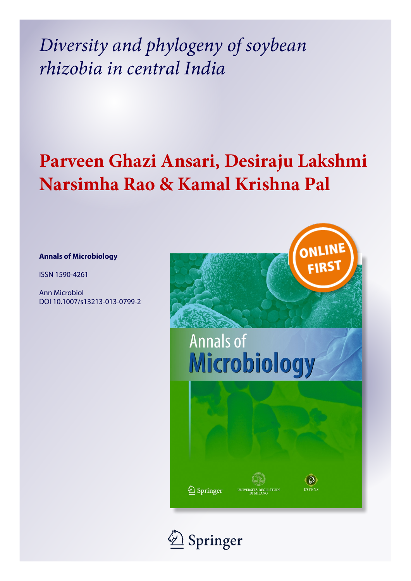*Diversity and phylogeny of soybean rhizobia in central India*

# **Parveen Ghazi Ansari, Desiraju Lakshmi Narsimha Rao & Kamal Krishna Pal**

# **Annals of Microbiology**

ISSN 1590-4261

Ann Microbiol DOI 10.1007/s13213-013-0799-2



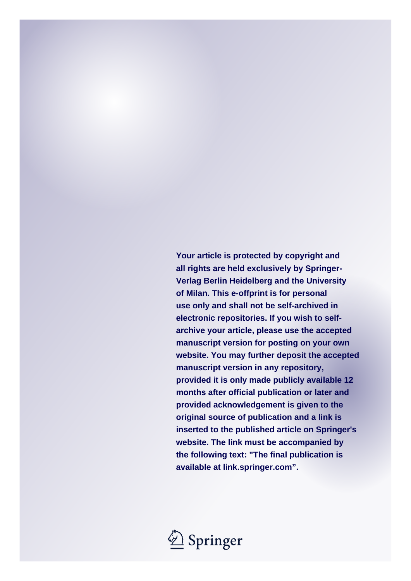**Your article is protected by copyright and all rights are held exclusively by Springer-Verlag Berlin Heidelberg and the University of Milan. This e-offprint is for personal use only and shall not be self-archived in electronic repositories. If you wish to selfarchive your article, please use the accepted manuscript version for posting on your own website. You may further deposit the accepted manuscript version in any repository, provided it is only made publicly available 12 months after official publication or later and provided acknowledgement is given to the original source of publication and a link is inserted to the published article on Springer's website. The link must be accompanied by the following text: "The final publication is available at link.springer.com".**

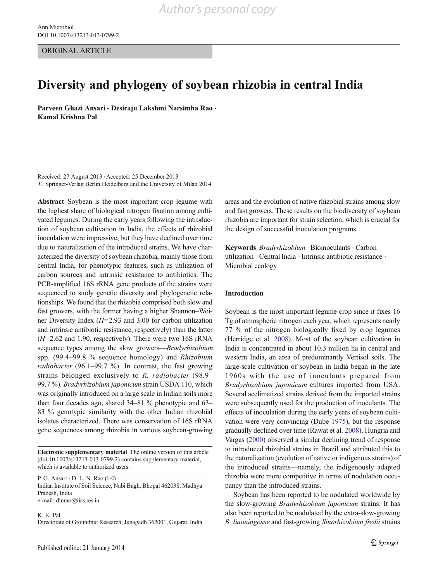ORIGINAL ARTICLE

# Diversity and phylogeny of soybean rhizobia in central India

Parveen Ghazi Ansari · Desiraju Lakshmi Narsimha Rao · Kamal Krishna Pal

Received: 27 August 2013 /Accepted: 25 December 2013  $\oslash$  Springer-Verlag Berlin Heidelberg and the University of Milan 2014

Abstract Soybean is the most important crop legume with the highest share of biological nitrogen fixation among cultivated legumes. During the early years following the introduction of soybean cultivation in India, the effects of rhizobial inoculation were impressive, but they have declined over time due to naturalization of the introduced strains. We have characterized the diversity of soybean rhizobia, mainly those from central India, for phenotypic features, such as utilization of carbon sources and intrinsic resistance to antibiotics. The PCR-amplified 16S rRNA gene products of the strains were sequenced to study genetic diversity and phylogenetic relationships. We found that the rhizobia comprised both slow and fast growers, with the former having a higher Shannon–Weiner Diversity Index (H=2.93 and 3.00 for carbon utilization and intrinsic antibiotic resistance, respectively) than the latter  $(H=2.62$  and 1.90, respectively). There were two 16S rRNA sequence types among the slow growers—Bradyrhizobium spp. (99.4–99.8 % sequence homology) and Rhizobium *radiobacter* (96.1–99.7 %). In contrast, the fast growing strains belonged exclusively to R. radiobacter (98.9– 99.7 %). Bradyrhizobium japonicum strain USDA 110, which was originally introduced on a large scale in Indian soils more than four decades ago, shared 34–81 % phenotypic and 63– 83 % genotypic similarity with the other Indian rhizobial isolates characterized. There was conservation of 16S rRNA gene sequences among rhizobia in various soybean-growing

Electronic supplementary material The online version of this article (doi[:10.1007/s13213-013-0799-2](http://dx.doi.org/10.1007/s13213-013-0799-2)) contains supplementary material, which is available to authorized users.

P. G. Ansari  $\cdot$  D. L. N. Rao ( $\boxtimes$ ) Indian Institute of Soil Science, Nabi Bagh, Bhopal 462038, Madhya Pradesh, India e-mail: dlnrao@iiss.res.in

K. K. Pal Directorate of Groundnut Research, Junagadh 362001, Gujarat, India areas and the evolution of native rhizobial strains among slow and fast growers. These results on the biodiversity of soybean rhizobia are important for strain selection, which is crucial for the design of successful inoculation programs.

Keywords Bradyrhizobium . Bioinoculants . Carbon utilization . Central India . Intrinsic antibiotic resistance . Microbial ecology

# Introduction

Soybean is the most important legume crop since it fixes 16 Tg of atmospheric nitrogen each year, which represents nearly 77 % of the nitrogen biologically fixed by crop legumes (Herridge et al. [2008](#page-14-0)). Most of the soybean cultivation in India is concentrated in about 10.3 million ha in central and western India, an area of predominantly Vertisol soils. The large-scale cultivation of soybean in India began in the late 1960s with the use of inoculants prepared from Bradyrhizobium japonicum cultures imported from USA. Several acclimatized strains derived from the imported strains were subsequently used for the production of inoculants. The effects of inoculation during the early years of soybean cultivation were very convincing (Dube [1975](#page-14-0)), but the response gradually declined over time (Rawat et al. [2008](#page-14-0)). Hungria and Vargas [\(2000\)](#page-14-0) observed a similar declining trend of response to introduced rhizobial strains in Brazil and attributed this to the naturalization (evolution of native or indigenous strains) of the introduced strains—namely, the indigenously adapted rhizobia were more competitive in terms of nodulation occupancy than the introduced strains.

Soybean has been reported to be nodulated worldwide by the slow-growing Bradyrhizobium japonicum strains. It has also been reported to be nodulated by the extra-slow-growing B. liaoningense and fast-growing Sinorhizobium fredii strains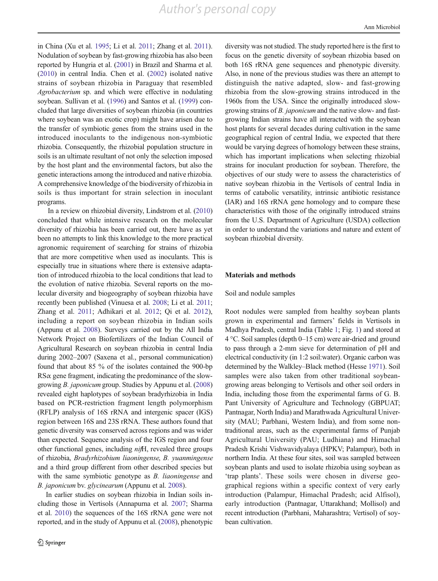<span id="page-3-0"></span>in China (Xu et al. [1995;](#page-14-0) Li et al. [2011;](#page-14-0) Zhang et al. [2011\)](#page-14-0). Nodulation of soybean by fast-growing rhizobia has also been reported by Hungria et al. [\(2001\)](#page-14-0) in Brazil and Sharma et al. [\(2010\)](#page-14-0) in central India. Chen et al. ([2002](#page-13-0)) isolated native strains of soybean rhizobia in Paraguay that resembled Agrobacterium sp. and which were effective in nodulating soybean. Sullivan et al. [\(1996\)](#page-14-0) and Santos et al. [\(1999\)](#page-14-0) concluded that large diversities of soybean rhizobia (in countries where soybean was an exotic crop) might have arisen due to the transfer of symbiotic genes from the strains used in the introduced inoculants to the indigenous non-symbiotic rhizobia. Consequently, the rhizobial population structure in soils is an ultimate resultant of not only the selection imposed by the host plant and the environmental factors, but also the genetic interactions among the introduced and native rhizobia. A comprehensive knowledge of the biodiversity of rhizobia in soils is thus important for strain selection in inoculant programs.

In a review on rhizobial diversity, Lindstrom et al. [\(2010\)](#page-14-0) concluded that while intensive research on the molecular diversity of rhizobia has been carried out, there have as yet been no attempts to link this knowledge to the more practical agronomic requirement of searching for strains of rhizobia that are more competitive when used as inoculants. This is especially true in situations where there is extensive adaptation of introduced rhizobia to the local conditions that lead to the evolution of native rhizobia. Several reports on the molecular diversity and biogeography of soybean rhizobia have recently been published (Vinuesa et al. [2008](#page-14-0); Li et al. [2011](#page-14-0); Zhang et al. [2011;](#page-14-0) Adhikari et al. [2012](#page-13-0); Qi et al. [2012](#page-14-0)), including a report on soybean rhizobia in Indian soils (Appunu et al. [2008\)](#page-13-0). Surveys carried out by the All India Network Project on Biofertilizers of the Indian Council of Agricultural Research on soybean rhizobia in central India during 2002–2007 (Saxena et al., personal communication) found that about 85 % of the isolates contained the 900-bp  $RS\alpha$  gene fragment, indicating the predominance of the slowgrowing B. japonicum group. Studies by Appunu et al. [\(2008\)](#page-13-0) revealed eight haplotypes of soybean bradyrhizobia in India based on PCR-restriction fragment length polymorphism (RFLP) analysis of 16S rRNA and intergenic spacer (IGS) region between 16S and 23S rRNA. These authors found that genetic diversity was conserved across regions and was wider than expected. Sequence analysis of the IGS region and four other functional genes, including nifH, revealed three groups of rhizobia, Bradyrhizobium liaoningense, B. yuanmingense and a third group different from other described species but with the same symbiotic genotype as *B*. *liaoningense* and B. japonicum bv. glycinearum (Appunu et al. [2008](#page-13-0)).

In earlier studies on soybean rhizobia in Indian soils including those in Vertisols (Annapurna et al. [2007;](#page-13-0) Sharma et al. [2010\)](#page-14-0) the sequences of the 16S rRNA gene were not reported, and in the study of Appunu et al. ([2008](#page-13-0)), phenotypic diversity was not studied. The study reported here is the first to focus on the genetic diversity of soybean rhizobia based on both 16S rRNA gene sequences and phenotypic diversity. Also, in none of the previous studies was there an attempt to distinguish the native adapted, slow- and fast-growing rhizobia from the slow-growing strains introduced in the 1960s from the USA. Since the originally introduced slowgrowing strains of B. japonicum and the native slow- and fastgrowing Indian strains have all interacted with the soybean host plants for several decades during cultivation in the same geographical region of central India, we expected that there would be varying degrees of homology between these strains, which has important implications when selecting rhizobial strains for inoculant production for soybean. Therefore, the objectives of our study were to assess the characteristics of native soybean rhizobia in the Vertisols of central India in terms of catabolic versatility, intrinsic antibiotic resistance (IAR) and 16S rRNA gene homology and to compare these characteristics with those of the originally introduced strains from the U.S. Department of Agriculture (USDA) collection in order to understand the variations and nature and extent of soybean rhizobial diversity.

## Materials and methods

#### Soil and nodule samples

Root nodules were sampled from healthy soybean plants grown in experimental and farmers' fields in Vertisols in Madhya Pradesh, central India (Table [1](#page-4-0); Fig. [1](#page-5-0)) and stored at 4 °C. Soil samples (depth 0–15 cm) were air-dried and ground to pass through a 2-mm sieve for determination of pH and electrical conductivity (in 1:2 soil:water). Organic carbon was determined by the Walkley–Black method (Hesse [1971\)](#page-14-0). Soil samples were also taken from other traditional soybeangrowing areas belonging to Vertisols and other soil orders in India, including those from the experimental farms of G. B. Pant University of Agriculture and Technology (GBPUAT; Pantnagar, North India) and Marathwada Agricultural University (MAU; Parbhani, Western India), and from some nontraditional areas, such as the experimental farms of Punjab Agricultural University (PAU; Ludhiana) and Himachal Pradesh Krishi Vishwavidyalaya (HPKV; Palampur), both in northern India. At these four sites, soil was sampled between soybean plants and used to isolate rhizobia using soybean as 'trap plants'. These soils were chosen in diverse geographical regions within a specific context of very early introduction (Palampur, Himachal Pradesh; acid Alfisol), early introduction (Pantnagar, Uttarakhand; Mollisol) and recent introduction (Parbhani, Maharashtra; Vertisol) of soybean cultivation.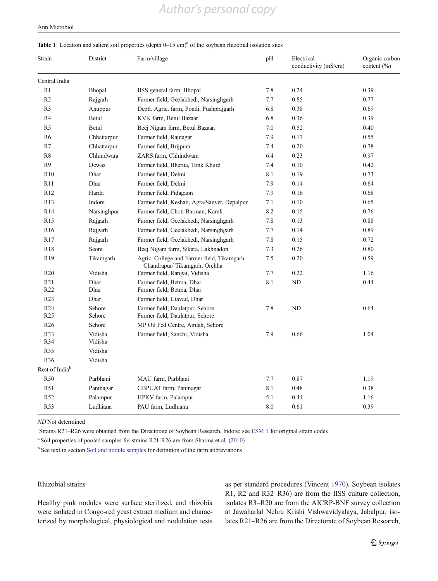#### <span id="page-4-0"></span>Ann Microbiol

#### Table 1 Location and salient soil properties (depth  $0-15$  cm)<sup>a</sup> of the soybean rhizobial isolation sites

| Strain                     | District           | Farm/village                                                                | pH  | Electrical<br>conductivity (mS/cm) | Organic carbon<br>content $(\% )$ |
|----------------------------|--------------------|-----------------------------------------------------------------------------|-----|------------------------------------|-----------------------------------|
| Central India              |                    |                                                                             |     |                                    |                                   |
| R1                         | Bhopal             | IISS general farm, Bhopal                                                   | 7.8 | 0.24                               | 0.39                              |
| R2                         | Rajgarh            | Farmer field, Geelakhedi, Narsinghgarh                                      | 7.7 | 0.85                               | 0.77                              |
| R <sub>3</sub>             | Anuppur            | Deptt. Agric. farm, Pondi, Pushprajgarh                                     | 6.8 | 0.38                               | 0.69                              |
| R <sub>4</sub>             | Betul              | KVK farm, Betul Bazaar                                                      | 6.8 | 0.36                               | 0.39                              |
| R <sub>5</sub>             | Betul              | Beej Nigam farm, Betul Bazaar.                                              | 7.0 | 0.52                               | 0.40                              |
| R <sub>6</sub>             | Chhattarpur        | Farmer field, Rajnagar                                                      | 7.9 | 0.17                               | 0.55                              |
| R7                         | Chhattarpur        | Farmer field, Brijpura                                                      | 7.4 | 0.20                               | 0.78                              |
| R8                         | Chhindwara         | ZARS farm, Chhindwara                                                       | 6.4 | 0.23                               | 0.97                              |
| R <sub>9</sub>             | Dewas              | Farmer field, Bherua, Tonk Khurd                                            | 7.4 | 0.10                               | 0.42                              |
| R10                        | Dhar               | Farmer field, Delmi                                                         | 8.1 | 0.19                               | 0.73                              |
| R11                        | Dhar               | Farmer field, Delmi                                                         | 7.9 | 0.14                               | 0.64                              |
| R <sub>12</sub>            | Harda              | Farmer field, Pidagaon                                                      | 7.9 | 0.16                               | 0.68                              |
| R13                        | Indore             | Farmer field, Keshati, Agra/Sanver, Depalpur                                | 7.1 | 0.10                               | 0.65                              |
| R14                        | Narsinghpur        | Farmer field, Choti Barman, Kareli                                          | 8.2 | 0.15                               | 0.76                              |
| R15                        | Rajgarh            | Farmer field, Geelakhedi, Narsinghgarh                                      | 7.8 | 0.13                               | 0.88                              |
| R <sub>16</sub>            | Rajgarh            | Farmer field, Geelakhedi, Narsinghgarh                                      | 7.7 | 0.14                               | 0.89                              |
| R17                        | Rajgarh            | Farmer field, Geelakhedi, Narsinghgarh                                      | 7.8 | 0.15                               | 0.72                              |
| <b>R18</b>                 | Seoni              | Beej Nigam farm, Sikara, Lakhnadon                                          | 7.3 | 0.26                               | 0.80                              |
| R <sub>19</sub>            | Tikamgarh          | Agric. College and Farmer field, Tikamgarh,<br>Chandrapur/Tikamgarh, Orchha | 7.5 | 0.20                               | 0.59                              |
| R <sub>20</sub>            | Vidisha            | Farmer field, Rangai, Vidisha                                               | 7.7 | 0.22                               | 1.16                              |
| R21<br>R <sub>22</sub>     | Dhar<br>Dhar       | Farmer field, Betma, Dhar<br>Farmer field, Betma, Dhar                      | 8.1 | ND                                 | 0.44                              |
| R <sub>23</sub>            | Dhar               | Farmer field, Utavad, Dhar                                                  |     |                                    |                                   |
| R24<br>R <sub>25</sub>     | Sehore<br>Sehore   | Farmer field, Daulatpur, Sehore<br>Farmer field, Daulatpur, Sehore          | 7.8 | ND                                 | 0.64                              |
| R <sub>26</sub>            | Sehore             | MP Oil Fed Centre, Amlah, Sehore                                            |     |                                    |                                   |
| R33<br>R34                 | Vidisha<br>Vidisha | Farmer field, Sanchi, Vidisha                                               | 7.9 | 0.66                               | 1.04                              |
| R35                        | Vidisha            |                                                                             |     |                                    |                                   |
| R <sub>36</sub>            | Vidisha            |                                                                             |     |                                    |                                   |
| Rest of India <sup>b</sup> |                    |                                                                             |     |                                    |                                   |
| <b>R50</b>                 | Parbhani           | MAU farm, Parbhani                                                          | 7.7 | 0.87                               | 1.19                              |
| R51                        | Pantnagar          | GBPUAT farm, Pantnagar                                                      | 8.1 | 0.48                               | 0.38                              |
| R52                        | Palampur           | HPKV farm, Palampur                                                         | 5.1 | 0.44                               | 1.16                              |
| R <sub>53</sub>            | Ludhiana           | PAU farm, Ludhiana                                                          | 8.0 | 0.61                               | 0.39                              |

ND Not determined

Strains R21–R26 were obtained from the Directorate of Soybean Research, Indore; see ESM 1 for original strain codes

<sup>a</sup> Soil properties of pooled samples for strains R21-R26 are from Sharma et al. ([2010](#page-14-0))

<sup>b</sup> See text in section [Soil and nodule samples](#page-3-0) for definition of the farm abbreviations

# Rhizobial strains

Healthy pink nodules were surface sterilized, and rhizobia were isolated in Congo-red yeast extract medium and characterized by morphological, physiological and nodulation tests as per standard procedures (Vincent [1970](#page-14-0)). Soybean isolates R1, R2 and R32–R36) are from the IISS culture collection, isolates R3–R20 are from the AICRP-BNF survey collection at Jawaharlal Nehru Krishi Vishwavidyalaya, Jabalpur, isolates R21–R26 are from the Directorate of Soybean Research,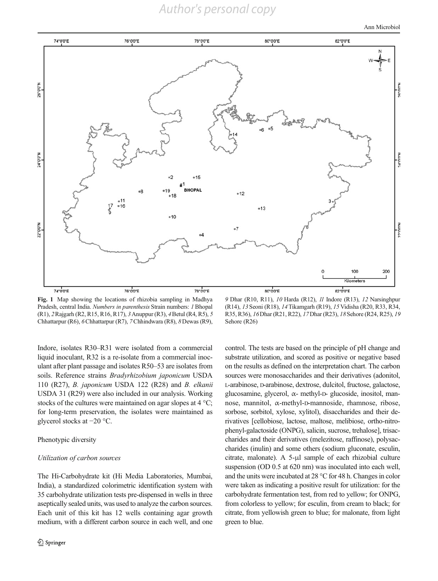*Author's personal copy*

Ann Microbiol

<span id="page-5-0"></span>

Fig. 1 Map showing the locations of rhizobia sampling in Madhya Pradesh, central India. Numbers in parenthesis Strain numbers: 1 Bhopal (R1), 2Rajgarh (R2, R15, R16, R17), 3Anuppur (R3), 4Betul (R4, R5), 5 Chhattarpur (R6), 6Chhattarpur (R7), 7Chhindwara (R8), 8Dewas (R9),

9 Dhar (R10, R11), 10 Harda (R12), 11 Indore (R13), 12 Narsinghpur (R14), 13 Seoni (R18), 14Tikamgarh (R19), 15 Vidisha (R20, R33, R34, R35, R36), 16Dhar (R21, R22), 17Dhar (R23), 18Sehore (R24, R25), 19 Sehore (R26)

Indore, isolates R30–R31 were isolated from a commercial liquid inoculant, R32 is a re-isolate from a commercial inoculant after plant passage and isolates R50–53 are isolates from soils. Reference strains Bradyrhizobium japonicum USDA 110 (R27), B. japonicum USDA 122 (R28) and B. elkanii USDA 31 (R29) were also included in our analysis. Working stocks of the cultures were maintained on agar slopes at 4 °C; for long-term preservation, the isolates were maintained as glycerol stocks at −20 °C.

## Phenotypic diversity

#### Utilization of carbon sources

The Hi-Carbohydrate kit (Hi Media Laboratories, Mumbai, India), a standardized colorimetric identification system with 35 carbohydrate utilization tests pre-dispensed in wells in three aseptically sealed units, was used to analyze the carbon sources. Each unit of this kit has 12 wells containing agar growth medium, with a different carbon source in each well, and one control. The tests are based on the principle of pH change and substrate utilization, and scored as positive or negative based on the results as defined on the interpretation chart. The carbon sources were monosaccharides and their derivatives (adonitol, L-arabinose, D-arabinose, dextrose, dulcitol, fructose, galactose, glucosamine, glycerol, α- methyl-D- glucoside, inositol, mannose, mannitol, α-methyl-D-mannoside, rhamnose, ribose, sorbose, sorbitol, xylose, xylitol), disaccharides and their derivatives [cellobiose, lactose, maltose, melibiose, ortho-nitrophenyl-galactoside (ONPG), salicin, sucrose, trehalose], trisaccharides and their derivatives (melezitose, raffinose), polysaccharides (inulin) and some others (sodium gluconate, esculin, citrate, malonate). A 5-μl sample of each rhizobial culture suspension (OD 0.5 at 620 nm) was inoculated into each well, and the units were incubated at 28 °C for 48 h. Changes in color were taken as indicating a positive result for utilization: for the carbohydrate fermentation test, from red to yellow; for ONPG, from colorless to yellow; for esculin, from cream to black; for citrate, from yellowish green to blue; for malonate, from light green to blue.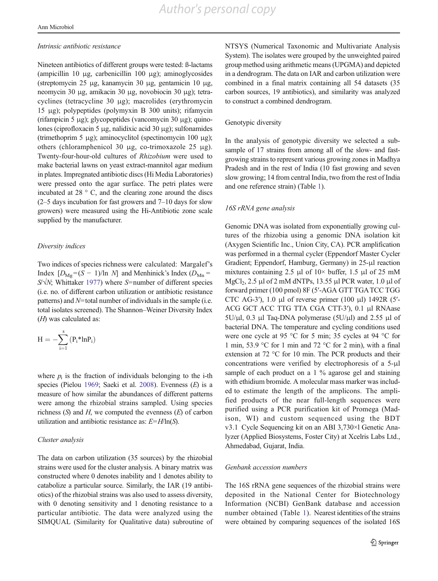#### <span id="page-6-0"></span>Intrinsic antibiotic resistance

Nineteen antibiotics of different groups were tested: ß-lactams (ampicillin 10 μg, carbenicillin 100 μg); aminoglycosides (streptomycin 25 μg, kanamycin 30 μg, gentamicin 10 μg, neomycin 30 μg, amikacin 30 μg, novobiocin 30 μg); tetracyclines (tetracycline 30 μg); macrolides (erythromycin 15 μg); polypeptides (polymyxin B 300 units); rifamycin (rifampicin 5 μg); glycopeptides (vancomycin 30 μg); quinolones (ciprofloxacin 5 μg, nalidixic acid 30 μg); sulfonamides (trimethoprim 5 μg); aminocyclitol (spectinomycin 100 μg); others (chloramphenicol 30 μg, co-trimoxazole 25 μg). Twenty-four-hour-old cultures of Rhizobium were used to make bacterial lawns on yeast extract-mannitol agar medium in plates. Impregnated antibiotic discs (Hi Media Laboratories) were pressed onto the agar surface. The petri plates were incubated at 28 ° C, and the clearing zone around the discs (2–5 days incubation for fast growers and 7–10 days for slow growers) were measured using the Hi-Antibiotic zone scale supplied by the manufacturer.

#### Diversity indices

Two indices of species richness were calculated: Margalef's Index  $[D_{\text{Mg}}=(S-1)/\ln N]$  and Menhinick's Index  $(D_{\text{Mn}}=$  $S/N$ ; Whittaker [1977](#page-14-0)) where S=number of different species (i.e. no. of different carbon utilization or antibiotic resistance patterns) and  $N$ =total number of individuals in the sample (i.e. total isolates screened). The Shannon–Weiner Diversity Index (H) was calculated as:

$$
H=-\sum_{i=1}^s\left(P_i^*lnP_i\right)
$$

where  $p_i$  is the fraction of individuals belonging to the i-th species (Pielou [1969;](#page-14-0) Saeki et al. [2008](#page-14-0)). Evenness (E) is a measure of how similar the abundances of different patterns were among the rhizobial strains sampled. Using species richness  $(S)$  and  $H$ , we computed the evenness  $(E)$  of carbon utilization and antibiotic resistance as:  $E = H/\ln(S)$ .

# Cluster analysis

The data on carbon utilization (35 sources) by the rhizobial strains were used for the cluster analysis. A binary matrix was constructed where 0 denotes inability and 1 denotes ability to catabolize a particular source. Similarly, the IAR (19 antibiotics) of the rhizobial strains was also used to assess diversity, with 0 denoting sensitivity and 1 denoting resistance to a particular antibiotic. The data were analyzed using the SIMQUAL (Similarity for Qualitative data) subroutine of NTSYS (Numerical Taxonomic and Multivariate Analysis System). The isolates were grouped by the unweighted paired group method using arithmetic means (UPGMA) and depicted in a dendrogram. The data on IAR and carbon utilization were combined in a final matrix containing all 54 datasets (35 carbon sources, 19 antibiotics), and similarity was analyzed to construct a combined dendrogram.

#### Genotypic diversity

In the analysis of genotypic diversity we selected a subsample of 17 strains from among all of the slow- and fastgrowing strains to represent various growing zones in Madhya Pradesh and in the rest of India (10 fast growing and seven slow growing; 14 from central India, two from the rest of India and one reference strain) (Table [1\)](#page-4-0).

#### 16S rRNA gene analysis

Genomic DNA was isolated from exponentially growing cultures of the rhizobia using a genomic DNA isolation kit (Axygen Scientific Inc., Union City, CA). PCR amplification was performed in a thermal cycler (Eppendorf Master Cycler Gradient; Eppendorf, Hamburg, Germany) in 25-μl reaction mixtures containing 2.5 μl of  $10\times$  buffer, 1.5 μl of 25 mM MgCl<sub>2</sub>, 2.5 μl of 2 mM dNTPs, 13.55 μl PCR water, 1.0 μl of forward primer (100 pmol) 8F (5′-AGA GTT TGATCC TGG CTC AG-3'), 1.0 μl of reverse primer (100 μl) 1492R (5'-ACG GCT ACC TTG TTA CGA CTT-3′), 0.1 μl RNAase  $5U/\mu$ l, 0.3  $\mu$ l Taq-DNA polymerase ( $5U/\mu$ l) and 2.55  $\mu$ l of bacterial DNA. The temperature and cycling conditions used were one cycle at 95 °C for 5 min; 35 cycles at 94 °C for 1 min, 53.9 °C for 1 min and 72 °C for 2 min), with a final extension at 72 °C for 10 min. The PCR products and their concentrations were verified by electrophoresis of a 5-μl sample of each product on a 1 % agarose gel and staining with ethidium bromide. A molecular mass marker was included to estimate the length of the amplicons. The amplified products of the near full-length sequences were purified using a PCR purification kit of Promega (Madison, WI) and custom sequenced using the BDT v3.1 Cycle Sequencing kit on an ABI 3,730×l Genetic Analyzer (Applied Biosystems, Foster City) at Xcelris Labs Ltd., Ahmedabad, Gujarat, India.

#### Genbank accession numbers

The 16S rRNA gene sequences of the rhizobial strains were deposited in the National Center for Biotechnology Information (NCBI) GenBank database and accession number obtained (Table [1](#page-4-0)). Nearest identities of the strains were obtained by comparing sequences of the isolated 16S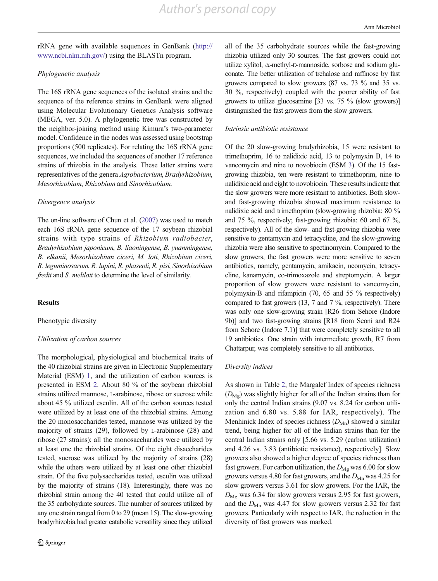rRNA gene with available sequences in GenBank ([http://](http://www.ncbi.nlm.nih.gov/) [www.ncbi.nlm.nih.gov/\)](http://www.ncbi.nlm.nih.gov/) using the BLASTn program.

# Phylogenetic analysis

The 16S rRNA gene sequences of the isolated strains and the sequence of the reference strains in GenBank were aligned using Molecular Evolutionary Genetics Analysis software (MEGA, ver. 5.0). A phylogenetic tree was constructed by the neighbor-joining method using Kimura's two-parameter model. Confidence in the nodes was assessed using bootstrap proportions (500 replicates). For relating the 16S rRNA gene sequences, we included the sequences of another 17 reference strains of rhizobia in the analysis. These latter strains were representatives of the genera Agrobacterium, Bradyrhizobium, Mesorhizobium, Rhizobium and Sinorhizobium.

#### Divergence analysis

The on-line software of Chun et al. [\(2007](#page-13-0)) was used to match each 16S rRNA gene sequence of the 17 soybean rhizobial strains with type strains of Rhizobium radiobacter, Bradyrhizobium japonicum, B. liaoningense, B. yuanmingense, B. elkanii, Mesorhizobium ciceri, M. loti, Rhizobium ciceri, R. leguminosarum, R. lupini, R. phaseoli, R. pisi, Sinorhizobium fredii and S. meliloti to determine the level of similarity.

#### **Results**

# Phenotypic diversity

#### Utilization of carbon sources

The morphological, physiological and biochemical traits of the 40 rhizobial strains are given in Electronic Supplementary Material (ESM) 1, and the utilization of carbon sources is presented in ESM 2. About 80 % of the soybean rhizobial strains utilized mannose, L-arabinose, ribose or sucrose while about 45 % utilized esculin. All of the carbon sources tested were utilized by at least one of the rhizobial strains. Among the 20 monosaccharides tested, mannose was utilized by the majority of strains (29), followed by L-arabinose (28) and ribose (27 strains); all the monosaccharides were utilized by at least one the rhizobial strains. Of the eight disaccharides tested, sucrose was utilized by the majority of strains (28) while the others were utilized by at least one other rhizobial strain. Of the five polysaccharides tested, esculin was utilized by the majority of strains (18). Interestingly, there was no rhizobial strain among the 40 tested that could utilize all of the 35 carbohydrate sources. The number of sources utilized by any one strain ranged from 0 to 29 (mean 15). The slow-growing bradyrhizobia had greater catabolic versatility since they utilized

all of the 35 carbohydrate sources while the fast-growing rhizobia utilized only 30 sources. The fast growers could not utilize xylitol,  $\alpha$ -methyl-D-mannoside, sorbose and sodium gluconate. The better utilization of trehalose and raffinose by fast growers compared to slow growers (87 vs. 73 % and 35 vs. 30 %, respectively) coupled with the poorer ability of fast growers to utilize glucosamine [33 vs. 75 % (slow growers)] distinguished the fast growers from the slow growers.

#### Intrinsic antibiotic resistance

Of the 20 slow-growing bradyrhizobia, 15 were resistant to trimethoprim, 16 to nalidixic acid, 13 to polymyxin B, 14 to vancomycin and nine to novobiocin (ESM 3). Of the 15 fastgrowing rhizobia, ten were resistant to trimethoprim, nine to nalidixic acid and eight to novobiocin. These results indicate that the slow growers were more resistant to antibiotics. Both slowand fast-growing rhizobia showed maximum resistance to nalidixic acid and trimethoprim (slow-growing rhizobia: 80 % and 75 %, respectively; fast-growing rhizobia: 60 and 67 %, respectively). All of the slow- and fast-growing rhizobia were sensitive to gentamycin and tetracycline, and the slow-growing rhizobia were also sensitive to spectinomycin. Compared to the slow growers, the fast growers were more sensitive to seven antibiotics, namely, gentamycin, amikacin, neomycin, tetracycline, kanamycin, co-trimoxazole and streptomycin. A larger proportion of slow growers were resistant to vancomycin, polymyxin-B and rifampicin (70, 65 and 55 % respectively) compared to fast growers (13, 7 and 7 %, respectively). There was only one slow-growing strain [R26 from Sehore (Indore 9b)] and two fast-growing strains [R18 from Seoni and R24 from Sehore (Indore 7.1)] that were completely sensitive to all 19 antibiotics. One strain with intermediate growth, R7 from Chattarpur, was completely sensitive to all antibiotics.

#### Diversity indices

As shown in Table [2,](#page-8-0) the Margalef Index of species richness  $(D_{\text{Mg}})$  was slightly higher for all of the Indian strains than for only the central Indian strains (9.07 vs. 8.24 for carbon utilization and 6.80 vs. 5.88 for IAR, respectively). The Menhinick Index of species richness  $(D_{Mn})$  showed a similar trend, being higher for all of the Indian strains than for the central Indian strains only [5.66 vs. 5.29 (carbon utilization) and 4.26 vs. 3.83 (antibiotic resistance), respectively]. Slow growers also showed a higher degree of species richness than fast growers. For carbon utilization, the  $D_{\text{Mg}}$  was 6.00 for slow growers versus 4.80 for fast growers, and the  $D_{\text{Mn}}$  was 4.25 for slow growers versus 3.61 for slow growers. For the IAR, the  $D_{\text{Mg}}$  was 6.34 for slow growers versus 2.95 for fast growers, and the  $D_{\text{Mn}}$  was 4.47 for slow growers versus 2.32 for fast growers. Particularly with respect to IAR, the reduction in the diversity of fast growers was marked.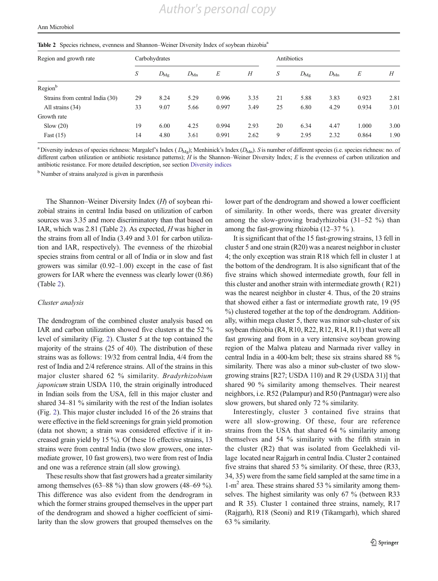| Region and growth rate          | Carbohydrates |              |              |       | Antibiotics |    |                 |              |       |      |
|---------------------------------|---------------|--------------|--------------|-------|-------------|----|-----------------|--------------|-------|------|
|                                 | S             | $D_{\rm Mg}$ | $D_{\rm Mn}$ | E     | Н           | S  | $D_{\text{Mg}}$ | $D_{\rm Mn}$ | E     | H    |
| Region <sup>b</sup>             |               |              |              |       |             |    |                 |              |       |      |
| Strains from central India (30) | 29            | 8.24         | 5.29         | 0.996 | 3.35        | 21 | 5.88            | 3.83         | 0.923 | 2.81 |
| All strains (34)                | 33            | 9.07         | 5.66         | 0.997 | 3.49        | 25 | 6.80            | 4.29         | 0.934 | 3.01 |
| Growth rate                     |               |              |              |       |             |    |                 |              |       |      |
| Slow(20)                        | 19            | 6.00         | 4.25         | 0.994 | 2.93        | 20 | 6.34            | 4.47         | 1.000 | 3.00 |
| Fast $(15)$                     | 14            | 4.80         | 3.61         | 0.991 | 2.62        | 9  | 2.95            | 2.32         | 0.864 | 1.90 |

<span id="page-8-0"></span>Table 2 Species richness, evenness and Shannon–Weiner Diversity Index of soybean rhizobia<sup>5</sup>

<sup>a</sup> Diversity indexes of species richness: Margalef's Index ( $D_{\text{Mg}}$ ); Menhinick's Index ( $D_{\text{Mn}}$ ). S is number of different species (i.e. species richness: no. of different carbon utilization or antibiotic resistance patterns);  $H$  is the Shannon–Weiner Diversity Index;  $E$  is the evenness of carbon utilization and antibiotic resistance. For more detailed description, see section [Diversity indices](#page-6-0)

<sup>b</sup> Number of strains analyzed is given in parenthesis

The Shannon–Weiner Diversity Index (H) of soybean rhizobial strains in central India based on utilization of carbon sources was 3.35 and more discriminatory than that based on IAR, which was 2.81 (Table 2). As expected, H was higher in the strains from all of India (3.49 and 3.01 for carbon utilization and IAR, respectively). The evenness of the rhizobial species strains from central or all of India or in slow and fast growers was similar (0.92–1.00) except in the case of fast growers for IAR where the evenness was clearly lower (0.86) (Table 2).

#### Cluster analysis

The dendrogram of the combined cluster analysis based on IAR and carbon utilization showed five clusters at the 52 % level of similarity (Fig. [2\)](#page-9-0). Cluster 5 at the top contained the majority of the strains (25 of 40). The distribution of these strains was as follows: 19/32 from central India, 4/4 from the rest of India and 2/4 reference strains. All of the strains in this major cluster shared 62 % similarity. Bradyrhizobium japonicum strain USDA 110, the strain originally introduced in Indian soils from the USA, fell in this major cluster and shared 34–81 % similarity with the rest of the Indian isolates (Fig. [2](#page-9-0)). This major cluster included 16 of the 26 strains that were effective in the field screenings for grain yield promotion (data not shown; a strain was considered effective if it increased grain yield by 15 %). Of these 16 effective strains, 13 strains were from central India (two slow growers, one intermediate grower, 10 fast growers), two were from rest of India and one was a reference strain (all slow growing).

These results show that fast growers had a greater similarity among themselves  $(63–88\%)$  than slow growers  $(48–69\%)$ . This difference was also evident from the dendrogram in which the former strains grouped themselves in the upper part of the dendrogram and showed a higher coefficient of similarity than the slow growers that grouped themselves on the lower part of the dendrogram and showed a lower coefficient of similarity. In other words, there was greater diversity among the slow-growing bradyrhizobia (31–52 %) than among the fast-growing rhizobia (12–37 % ).

It is significant that of the 15 fast-growing strains, 13 fell in cluster 5 and one strain (R20) was a nearest neighbor in cluster 4; the only exception was strain R18 which fell in cluster 1 at the bottom of the dendrogram. It is also significant that of the five strains which showed intermediate growth, four fell in this cluster and another strain with intermediate growth ( R21) was the nearest neighbor in cluster 4. Thus, of the 20 strains that showed either a fast or intermediate growth rate, 19 (95 %) clustered together at the top of the dendrogram. Additionally, within mega cluster 5, there was minor sub-cluster of six soybean rhizobia (R4, R10, R22, R12, R14, R11) that were all fast growing and from in a very intensive soybean growing region of the Malwa plateau and Narmada river valley in central India in a 400-km belt; these six strains shared 88 % similarity. There was also a minor sub-cluster of two slowgrowing strains [R27; USDA 110) and R 29 (USDA 31)] that shared 90 % similarity among themselves. Their nearest neighbors, i.e. R52 (Palampur) and R50 (Pantnagar) were also slow growers, but shared only 72 % similarity.

Interestingly, cluster 3 contained five strains that were all slow-growing. Of these, four are reference strains from the USA that shared 64 % similarity among themselves and 54 % similarity with the fifth strain in the cluster (R2) that was isolated from Geelakhedi village located near Rajgarh in central India. Cluster 2 contained five strains that shared 53 % similarity. Of these, three (R33, 34, 35) were from the same field sampled at the same time in a  $1-m<sup>2</sup>$  area. These strains shared 53 % similarity among themselves. The highest similarity was only 67 % (between R33 and R 35). Cluster 1 contained three strains, namely, R17 (Rajgarh), R18 (Seoni) and R19 (Tikamgarh), which shared 63 % similarity.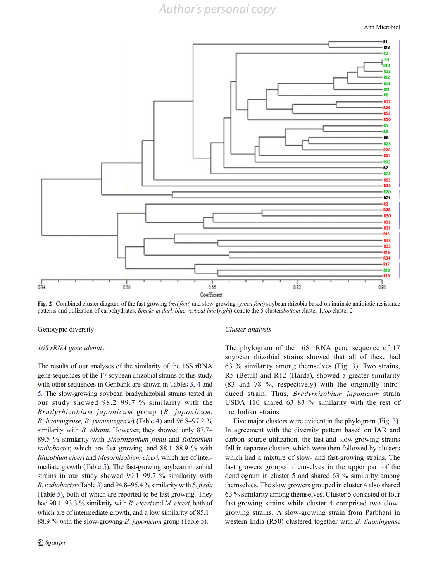Ann Microbiol

<span id="page-9-0"></span>

Fig. 2 Combined cluster diagram of the fast-growing (red font) and slow-growing (green font) soybean rhizobia based on intrinsic antibiotic resistance patterns and utilization of carbohydrates. Breaks in dark-blue vertical line (right) denote the 5 clustersbottom cluster 1,top cluster 2

Genotypic diversity

#### 16S rRNA gene identity

The results of our analyses of the similarity of the 16S rRNA gene sequences of the 17 soybean rhizobial strains of this study with other sequences in Genbank are shown in Tables [3,](#page-10-0) [4](#page-10-0) and [5.](#page-11-0) The slow-growing soybean bradyrhizobial strains tested in our study showed 98.2–99.7 % similarity with the Bradyrhizobium japonicum group (B. japonicum, B. liaoningense, B. yuanmingense) (Table [4](#page-10-0)) and 96.8–97.2 % similarity with *B. elkanii*. However, they showed only 87.7– 89.5 % similarity with Sinorhizobium fredii and Rhizobium radiobacter, which are fast growing, and 88.1–88.9 % with Rhizobium ciceri and Mesorhizobium ciceri, which are of intermediate growth (Table [5](#page-11-0)). The fast-growing soybean rhizobial strains in our study showed 99.1–99.7 % similarity with R. radiobacter(Table [3](#page-10-0)) and 94.8–95.4 % similarity with S. fredii (Table [5](#page-11-0)), both of which are reported to be fast growing. They had 90.1–93.3 % similarity with R. ciceri and M. ciceri, both of which are of intermediate growth, and a low similarity of 85.1– 88.9 % with the slow-growing *B. japonicum* group (Table [5\)](#page-11-0).

#### Cluster analysis

The phylogram of the 16S rRNA gene sequence of 17 soybean rhizobial strains showed that all of these had 63 % similarity among themselves (Fig. [3\)](#page-12-0). Two strains, R5 (Betul) and R12 (Harda), showed a greater similarity (83 and 78 %, respectively) with the originally introduced strain. Thus, Bradyrhizobium japonicum strain USDA 110 shared 63–83 % similarity with the rest of the Indian strains.

Five major clusters were evident in the phylogram (Fig. [3\)](#page-12-0). In agreement with the diversity pattern based on IAR and carbon source utilization, the fast-and slow-growing strains fell in separate clusters which were then followed by clusters which had a mixture of slow- and fast-growing strains. The fast growers grouped themselves in the upper part of the dendrogram in cluster 5 and shared 63 % similarity among themselves. The slow growers grouped in cluster 4 also shared 63 % similarity among themselves. Cluster 5 consisted of four fast-growing strains while cluster 4 comprised two slowgrowing strains. A slow-growing strain from Parbhani in western India (R50) clustered together with B. liaoningense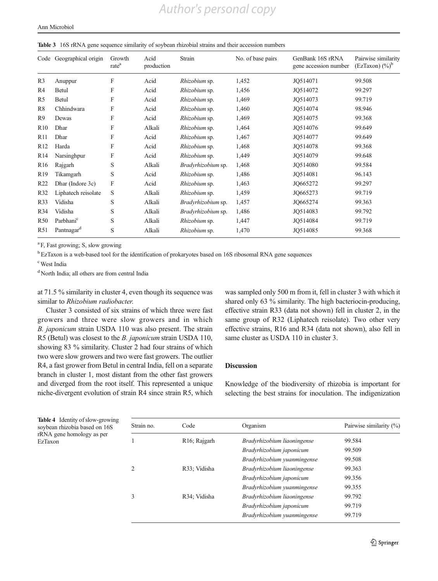#### <span id="page-10-0"></span>Table 3 16S rRNA gene sequence similarity of soybean rhizobial strains and their accession numbers

| Code             | Geographical origin    | Growth<br>rate <sup>a</sup> | Acid<br>production | Strain             | No. of base pairs | GenBank 16S rRNA<br>gene accession number | Pairwise similarity<br>$(EzTaxon)$ $(\%)^b$ |
|------------------|------------------------|-----------------------------|--------------------|--------------------|-------------------|-------------------------------------------|---------------------------------------------|
| R <sub>3</sub>   | Anuppur                | F                           | Acid               | Rhizobium sp.      | 1,452             | JO514071                                  | 99.508                                      |
| R4               | Betul                  | F                           | Acid               | Rhizobium sp.      | 1,456             | JQ514072                                  | 99.297                                      |
| R5               | Betul                  | F                           | Acid               | Rhizobium sp.      | 1,469             | JQ514073                                  | 99.719                                      |
| R8               | Chhindwara             | F                           | Acid               | Rhizobium sp.      | 1,460             | JO514074                                  | 98.946                                      |
| R <sub>9</sub>   | Dewas                  | F                           | Acid               | Rhizobium sp.      | 1,469             | JQ514075                                  | 99.368                                      |
| R10              | Dhar                   | F                           | Alkali             | Rhizobium sp.      | 1,464             | JQ514076                                  | 99.649                                      |
| R11              | Dhar                   | F                           | Acid               | Rhizobium sp.      | 1,467             | JO514077                                  | 99.649                                      |
| R <sub>12</sub>  | Harda                  | F                           | Acid               | Rhizobium sp.      | 1,468             | JQ514078                                  | 99.368                                      |
| R <sub>14</sub>  | Narsinghpur            | F                           | Acid               | Rhizobium sp.      | 1,449             | JQ514079                                  | 99.648                                      |
| R <sub>16</sub>  | Rajgarh                | S                           | Alkali             | Bradyrhizobium sp. | 1,468             | JQ514080                                  | 99.584                                      |
| R <sub>19</sub>  | Tikamgarh              | S                           | Acid               | Rhizobium sp.      | 1,486             | JQ514081                                  | 96.143                                      |
| R <sub>22</sub>  | Dhar (Indore 3c)       | $\boldsymbol{\mathrm{F}}$   | Acid               | Rhizobium sp.      | 1,463             | JO665272                                  | 99.297                                      |
| R32              | Liphatech reisolate    | S                           | Alkali             | Rhizobium sp.      | 1,459             | JO665273                                  | 99.719                                      |
| R <sub>3</sub> 3 | Vidisha                | S                           | Alkali             | Bradyrhizobium sp. | 1,457             | JO665274                                  | 99.363                                      |
| R34              | Vidisha                | S                           | Alkali             | Bradyrhizobium sp. | 1,486             | JQ514083                                  | 99.792                                      |
| R <sub>50</sub>  | Parbhani <sup>c</sup>  | S                           | Alkali             | Rhizobium sp.      | 1,447             | JQ514084                                  | 99.719                                      |
| R51              | Pantnagar <sup>d</sup> | S                           | Alkali             | Rhizobium sp.      | 1,470             | JQ514085                                  | 99.368                                      |

<sup>a</sup> F, Fast growing; S, slow growing

<sup>b</sup> EzTaxon is a web-based tool for the identification of prokaryotes based on 16S ribosomal RNA gene sequences

c West India

<sup>d</sup> North India; all others are from central India

at 71.5 % similarity in cluster 4, even though its sequence was similar to Rhizobium radiobacter.

Cluster 3 consisted of six strains of which three were fast growers and three were slow growers and in which B. japonicum strain USDA 110 was also present. The strain R5 (Betul) was closest to the B. japonicum strain USDA 110, showing 83 % similarity. Cluster 2 had four strains of which two were slow growers and two were fast growers. The outlier R4, a fast grower from Betul in central India, fell on a separate branch in cluster 1, most distant from the other fast growers and diverged from the root itself. This represented a unique niche-divergent evolution of strain R4 since strain R5, which was sampled only 500 m from it, fell in cluster 3 with which it shared only 63 % similarity. The high bacteriocin-producing, effective strain R33 (data not shown) fell in cluster 2, in the same group of R32 (Liphatech reisolate). Two other very effective strains, R16 and R34 (data not shown), also fell in same cluster as USDA 110 in cluster 3.

#### Discussion

Knowledge of the biodiversity of rhizobia is important for selecting the best strains for inoculation. The indigenization

Table 4 Identity of slow-growing soybean rhizobia based on 16S rRNA gene homology as per EzTaxon

| Strain no.         | Code                      | Organism                    | Pairwise similarity (%) |
|--------------------|---------------------------|-----------------------------|-------------------------|
|                    | R <sub>16</sub> ; Rajgarh | Bradyrhizobium liaoningense | 99.584                  |
|                    |                           | Bradyrhizobium japonicum    | 99.509                  |
|                    |                           | Bradyrhizobium yuanmingense | 99.508                  |
| $\mathfrak{D}_{1}$ | R33: Vidisha              | Bradyrhizobium liaoningense | 99.363                  |
|                    |                           | Bradyrhizobium japonicum    | 99.356                  |
|                    |                           | Bradyrhizobium yuanmingense | 99.355                  |
| 3                  | R <sub>34</sub> : Vidisha | Bradyrhizobium liaoningense | 99.792                  |
|                    |                           | Bradyrhizobium japonicum    | 99.719                  |
|                    |                           | Bradyrhizobium yuanmingense | 99.719                  |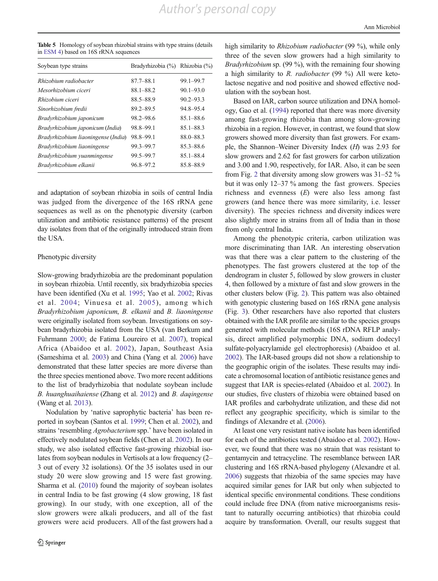<span id="page-11-0"></span>Table 5 Homology of soybean rhizobial strains with type strains (details in ESM 4) based on 16S rRNA sequences

| $87.7 - 88.1$ | $99.1 - 99.7$                  |
|---------------|--------------------------------|
| 88.1-88.2     | $90.1 - 93.0$                  |
| 88.5-88.9     | $90.2 - 93.3$                  |
| $89.2 - 89.5$ | 94.8-95.4                      |
| 98.2-98.6     | $85.1 - 88.6$                  |
| 98.8-99.1     | $85.1 - 88.3$                  |
| 98.8-99.1     | 88.0-88.3                      |
| 99.3-99.7     | $85.3 - 88.6$                  |
| 99.5-99.7     | $85.1 - 88.4$                  |
| 96.8-97.2     | 85.8-88.9                      |
|               | Bradyrhizobia (%) Rhizobia (%) |

and adaptation of soybean rhizobia in soils of central India was judged from the divergence of the 16S rRNA gene sequences as well as on the phenotypic diversity (carbon utilization and antibiotic resistance patterns) of the present day isolates from that of the originally introduced strain from the USA.

#### Phenotypic diversity

Slow-growing bradyrhizobia are the predominant population in soybean rhizobia. Until recently, six bradyrhizobia species have been identified (Xu et al. [1995;](#page-14-0) Yao et al. [2002](#page-14-0); Rivas et al. [2004;](#page-14-0) Vinuesa et al. [2005](#page-14-0)), among which Bradyrhizobium japonicum, B. elkanii and B. liaoningense were originally isolated from soybean. Investigations on soybean bradyrhizobia isolated from the USA (van Berkum and Fuhrmann [2000](#page-14-0); de Fatima Loureiro et al. [2007\)](#page-13-0), tropical Africa (Abaidoo et al. [2002\)](#page-13-0), Japan, Southeast Asia (Sameshima et al. [2003\)](#page-14-0) and China (Yang et al. [2006](#page-14-0)) have demonstrated that these latter species are more diverse than the three species mentioned above. Two more recent additions to the list of bradyrhizobia that nodulate soybean include B. huanghuaihaiense (Zhang et al. [2012](#page-14-0)) and B. daqingense (Wang et al. [2013\)](#page-14-0).

Nodulation by 'native saprophytic bacteria' has been reported in soybean (Santos et al. [1999](#page-14-0); Chen et al. [2002\)](#page-13-0), and strains 'resembling Agrobacterium spp.' have been isolated in effectively nodulated soybean fields (Chen et al. [2002](#page-13-0)). In our study, we also isolated effective fast-growing rhizobial isolates from soybean nodules in Vertisols at a low frequency (2– 3 out of every 32 isolations). Of the 35 isolates used in our study 20 were slow growing and 15 were fast growing. Sharma et al. [\(2010\)](#page-14-0) found the majority of soybean isolates in central India to be fast growing (4 slow growing, 18 fast growing). In our study, with one exception, all of the slow growers were alkali producers, and all of the fast growers were acid producers. All of the fast growers had a high similarity to *Rhizobium radiobacter* (99 %), while only three of the seven slow growers had a high similarity to Bradyrhizobium sp. (99 %), with the remaining four showing a high similarity to R. radiobacter (99 %) All were ketolactose negative and nod positive and showed effective nodulation with the soybean host.

Based on IAR, carbon source utilization and DNA homology, Gao et al. ([1994](#page-14-0)) reported that there was more diversity among fast-growing rhizobia than among slow-growing rhizobia in a region. However, in contrast, we found that slow growers showed more diversity than fast growers. For example, the Shannon–Weiner Diversity Index (H) was 2.93 for slow growers and 2.62 for fast growers for carbon utilization and 3.00 and 1.90, respectively, for IAR. Also, it can be seen from Fig. [2](#page-9-0) that diversity among slow growers was 31–52 % but it was only 12–37 % among the fast growers. Species richness and evenness  $(E)$  were also less among fast growers (and hence there was more similarity, i.e. lesser diversity). The species richness and diversity indices were also slightly more in strains from all of India than in those from only central India.

Among the phenotypic criteria, carbon utilization was more discriminating than IAR. An interesting observation was that there was a clear pattern to the clustering of the phenotypes. The fast growers clustered at the top of the dendrogram in cluster 5, followed by slow growers in cluster 4, then followed by a mixture of fast and slow growers in the other clusters below (Fig. [2\)](#page-9-0). This pattern was also obtained with genotypic clustering based on 16S rRNA gene analysis (Fig. [3\)](#page-12-0). Other researchers have also reported that clusters obtained with the IAR profile are similar to the species groups generated with molecular methods (16S rDNA RFLP analysis, direct amplified polymorphic DNA, sodium dodecyl sulfate-polyacrylamide gel electrophoresis) (Abaidoo et al. [2002\)](#page-13-0). The IAR-based groups did not show a relationship to the geographic origin of the isolates. These results may indicate a chromosomal location of antibiotic resistance genes and suggest that IAR is species-related (Abaidoo et al. [2002](#page-13-0)). In our studies, five clusters of rhizobia were obtained based on IAR profiles and carbohydrate utilization, and these did not reflect any geographic specificity, which is similar to the findings of Alexandre et al. ([2006](#page-13-0)).

At least one very resistant native isolate has been identified for each of the antibiotics tested (Abaidoo et al. [2002\)](#page-13-0). However, we found that there was no strain that was resistant to gentamycin and tetracycline. The resemblance between IAR clustering and 16S rRNA-based phylogeny (Alexandre et al. [2006\)](#page-13-0) suggests that rhizobia of the same species may have acquired similar genes for IAR but only when subjected to identical specific environmental conditions. These conditions could include free DNA (from native microorganisms resistant to naturally occurring antibiotics) that rhizobia could acquire by transformation. Overall, our results suggest that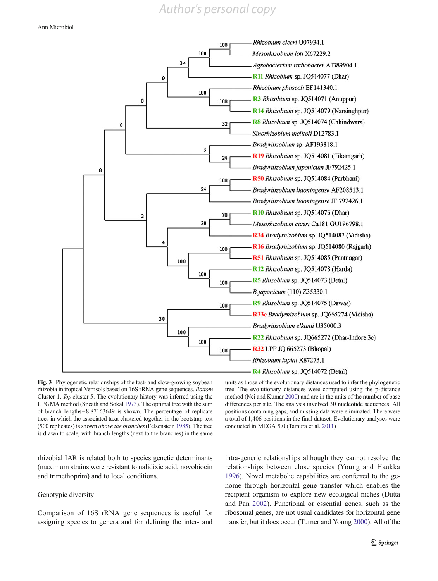<span id="page-12-0"></span>

Fig. 3 Phylogenetic relationships of the fast- and slow-growing soybean rhizobia in tropical Vertisols based on 16S rRNA gene sequences. Bottom Cluster 1, Top cluster 5. The evolutionary history was inferred using the UPGMA method (Sneath and Sokal [1973](#page-14-0)). The optimal tree with the sum of branch lengths=8.87163649 is shown. The percentage of replicate trees in which the associated taxa clustered together in the bootstrap test (500 replicates) is shown above the branches(Felsenstein [1985\)](#page-14-0). The tree is drawn to scale, with branch lengths (next to the branches) in the same

units as those of the evolutionary distances used to infer the phylogenetic tree. The evolutionary distances were computed using the p-distance method (Nei and Kumar [2000\)](#page-14-0) and are in the units of the number of base differences per site. The analysis involved 30 nucleotide sequences. All positions containing gaps, and missing data were eliminated. There were a total of 1,406 positions in the final dataset. Evolutionary analyses were conducted in MEGA 5.0 (Tamura et al. [2011](#page-14-0))

rhizobial IAR is related both to species genetic determinants (maximum strains were resistant to nalidixic acid, novobiocin and trimethoprim) and to local conditions.

### Genotypic diversity

Comparison of 16S rRNA gene sequences is useful for assigning species to genera and for defining the inter- and intra-generic relationships although they cannot resolve the relationships between close species (Young and Haukka [1996\)](#page-14-0). Novel metabolic capabilities are conferred to the genome through horizontal gene transfer which enables the recipient organism to explore new ecological niches (Dutta and Pan [2002](#page-14-0)). Functional or essential genes, such as the ribosomal genes, are not usual candidates for horizontal gene transfer, but it does occur (Turner and Young [2000](#page-14-0)). All of the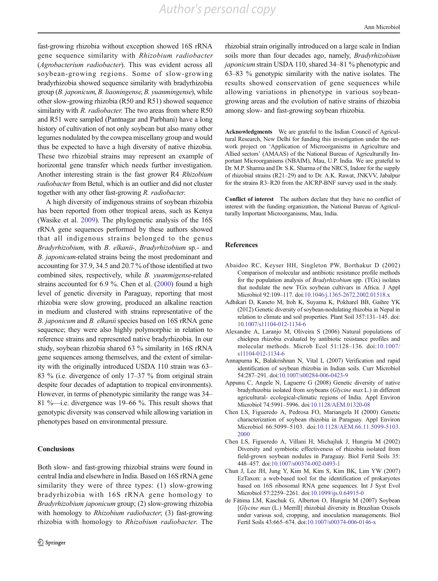<span id="page-13-0"></span>fast-growing rhizobia without exception showed 16S rRNA gene sequence similarity with Rhizobium radiobacter (Agrobacterium radiobacter). This was evident across all soybean-growing regions. Some of slow-growing bradyrhizobia showed sequence similarity with bradyrhizobia group (B. japonicum, B. liaoningense, B. yuanmingense), while other slow-growing rhizobia (R50 and R51) showed sequence similarity with R. radiobacter. The two areas from where R50 and R51 were sampled (Pantnagar and Parbhani) have a long history of cultivation of not only soybean but also many other legumes nodulated by the cowpea miscellany group and would thus be expected to have a high diversity of native rhizobia. These two rhizobial strains may represent an example of horizontal gene transfer which needs further investigation. Another interesting strain is the fast grower R4 Rhizobium radiobacter from Betul, which is an outlier and did not cluster together with any other fast-growing R. radiobacter.

A high diversity of indigenous strains of soybean rhizobia has been reported from other tropical areas, such as Kenya (Wasike et al. [2009\)](#page-14-0). The phylogenetic analysis of the 16S rRNA gene sequences performed by these authors showed that all indigenous strains belonged to the genus Bradyrhizobium, with B. elkanii-, Bradyrhizobium sp.- and B. japonicum-related strains being the most predominant and accounting for 37.9, 34.5 and 20.7 % of those identified at two combined sites, respectively, while B. yuanmigense-related strains accounted for 6.9 %. Chen et al. (2000) found a high level of genetic diversity in Paraguay, reporting that most rhizobia were slow growing, produced an alkaline reaction in medium and clustered with strains representative of the B. japonicum and B. elkanii species based on 16S rRNA gene sequence; they were also highly polymorphic in relation to reference strains and represented native bradyrhizobia. In our study, soybean rhizobia shared 63 % similarity in 16S rRNA gene sequences among themselves, and the extent of similarity with the originally introduced USDA 110 strain was 63– 83 % (i.e. divergence of only 17–37 % from original strain despite four decades of adaptation to tropical environments). However, in terms of phenotypic similarity the range was 34– 81 %—i.e. divergence was 19–66 %. This result shows that genotypic diversity was conserved while allowing variation in phenotypes based on environmental pressure.

#### **Conclusions**

Both slow- and fast-growing rhizobial strains were found in central India and elsewhere in India. Based on 16S rRNA gene similarity they were of three types: (1) slow-growing bradyrhizobia with 16S rRNA gene homology to Bradyrhizobium japonicum group; (2) slow-growing rhizobia with homology to *Rhizobium radiobacter*; (3) fast-growing rhizobia with homology to Rhizobium radiobacter. The

Ann Microbiol

rhizobial strain originally introduced on a large scale in Indian soils more than four decades ago, namely, Bradyrhizobium japonicum strain USDA 110, shared 34–81 % phenotypic and 63–83 % genotypic similarity with the native isolates. The results showed conservation of gene sequences while allowing variations in phenotype in various soybeangrowing areas and the evolution of native strains of rhizobia among slow- and fast-growing soybean rhizobia.

Acknowledgments We are grateful to the Indian Council of Agricultural Research, New Delhi for funding this investigation under the network project on 'Application of Microorganisms in Agriculture and Allied sectors' (AMAAS) of the National Bureau of Agriculturally Important Microorganisms (NBAIM), Mau, U.P. India. We are grateful to Dr. M.P. Sharma and Dr. S.K. Sharma of the NRCS, Indore for the supply of rhizobial strains (R21–29) and to Dr. A.K. Rawat, JNKVV, Jabalpur for the strains R3–R20 from the AICRP-BNF survey used in the study.

Conflict of interest The authors declare that they have no conflict of interest with the funding organization, the National Bureau of Agriculturally Important Microorganisms, Mau, India.

#### References

- Abaidoo RC, Keyser HH, Singleton PW, Borthakur D (2002) Comparison of molecular and antibiotic resistance profile methods for the population analysis of Bradyrhizobium spp. (TGx) isolates that nodulate the new TGx soybean cultivars in Africa. J Appl Microbiol 92:109–117. doi[:10.1046/j.1365-2672.2002.01518.x](http://dx.doi.org/10.1046/j.1365-2672.2002.01518.x)
- Adhikari D, Kaneto M, Itoh K, Suyama K, Pokharel BB, Gaihre YK (2012) Genetic diversity of soybean-nodulating rhizobia in Nepal in relation to climate and soil properties. Plant Soil 357:131–145. doi: [10.1007/s11104-012-1134-6](http://dx.doi.org/10.1007/s11104-012-1134-6)
- Alexandre A, Laranjo M, Oliveira S (2006) Natural populations of chickpea rhizobia evaluated by antibiotic resistance profiles and molecular methods. Microb Ecol 51:128–136. doi:[10.1007/](http://dx.doi.org/10.1007/s11104-012-1134-6) [s11104-012-1134-6](http://dx.doi.org/10.1007/s11104-012-1134-6)
- Annapurna K, Balakrishnan N, Vital L (2007) Verification and rapid identification of soybean rhizobia in Indian soils. Curr Microbiol 54:287–291. doi[:10.1007/s00284-006-0423-9](http://dx.doi.org/10.1007/s00284-006-0423-9)
- Appunu C, Angele N, Laguerre G (2008) Genetic diversity of native bradyrhizobia isolated from soybeans (Glycine max L.) in different agricultural- ecological-climatic regions of India. Appl Environ Microbiol 74:5991–5996. doi:[10.1128/AEM.01320-08](http://dx.doi.org/10.1128/AEM.01320-08)
- Chen LS, Figueredo A, Pedrosa FO, Mariangela H (2000) Genetic characterization of soybean rhizobia in Paraguay. Appl Environ Microbiol 66:5099–5103. doi[:10.1128/AEM.66.11.5099-5103.](http://dx.doi.org/10.1128/AEM.66.11.5099-5103.2000) [2000](http://dx.doi.org/10.1128/AEM.66.11.5099-5103.2000)
- Chen LS, Figueredo A, Villani H, Michajluk J, Hungria M (2002) Diversity and symbiotic effectiveness of rhizobia isolated from field-grown soybean nodules in Paraguay. Biol Fertil Soils 35: 448–457. doi[:10.1007/s00374-002-0493-1](http://dx.doi.org/10.1007/s00374-002-0493-1)
- Chun J, Lee JH, Jung Y, Kim M, Kim S, Kim BK, Lim YW (2007) EzTaxon: a web-based tool for the identification of prokaryotes based on 16S ribosomal RNA gene sequences. Int J Syst Evol Microbiol 57:2259–2261. doi:[10.1099/ijs.0.64915-0](http://dx.doi.org/10.1099/ijs.0.64915-0)
- de Fátima LM, Kaschuk G, Alberton O, Hungria M (2007) Soybean [Glycine max (L.) Merrill] rhizobial diversity in Brazilian Oxisols under various soil, cropping, and inoculation managements. Biol Fertil Soils 43:665–674. doi:[10.1007/s00374-006-0146-x](http://dx.doi.org/10.1007/s00374-006-0146-x)